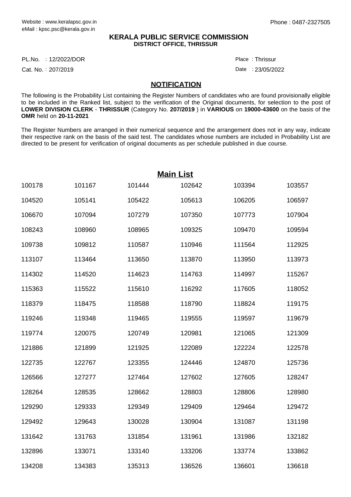#### **KERALA PUBLIC SERVICE COMMISSION DISTRICT OFFICE, THRISSUR**

12/2022/DOR Place : PL.No.

Cat. No.: 207/2019

Thrissur :

Date: 23/05/2022

#### **NOTIFICATION**

The following is the Probability List containing the Register Numbers of candidates who are found provisionally eligible to be included in the Ranked list, subject to the verification of the Original documents, for selection to the post of **LOWER DIVISION CLERK** - **THRISSUR** (Category No. **207/2019** ) in **VARIOUS** on **19000-43600** on the basis of the **OMR** held on **20-11-2021**

The Register Numbers are arranged in their numerical sequence and the arrangement does not in any way, indicate their respective rank on the basis of the said test. The candidates whose numbers are included in Probability List are directed to be present for verification of original documents as per schedule published in due course.

| <b>Main List</b> |        |        |        |        |        |  |
|------------------|--------|--------|--------|--------|--------|--|
| 100178           | 101167 | 101444 | 102642 | 103394 | 103557 |  |
| 104520           | 105141 | 105422 | 105613 | 106205 | 106597 |  |
| 106670           | 107094 | 107279 | 107350 | 107773 | 107904 |  |
| 108243           | 108960 | 108965 | 109325 | 109470 | 109594 |  |
| 109738           | 109812 | 110587 | 110946 | 111564 | 112925 |  |
| 113107           | 113464 | 113650 | 113870 | 113950 | 113973 |  |
| 114302           | 114520 | 114623 | 114763 | 114997 | 115267 |  |
| 115363           | 115522 | 115610 | 116292 | 117605 | 118052 |  |
| 118379           | 118475 | 118588 | 118790 | 118824 | 119175 |  |
| 119246           | 119348 | 119465 | 119555 | 119597 | 119679 |  |
| 119774           | 120075 | 120749 | 120981 | 121065 | 121309 |  |
| 121886           | 121899 | 121925 | 122089 | 122224 | 122578 |  |
| 122735           | 122767 | 123355 | 124446 | 124870 | 125736 |  |
| 126566           | 127277 | 127464 | 127602 | 127605 | 128247 |  |
| 128264           | 128535 | 128662 | 128803 | 128806 | 128980 |  |
| 129290           | 129333 | 129349 | 129409 | 129464 | 129472 |  |
| 129492           | 129643 | 130028 | 130904 | 131087 | 131198 |  |
| 131642           | 131763 | 131854 | 131961 | 131986 | 132182 |  |
| 132896           | 133071 | 133140 | 133206 | 133774 | 133862 |  |
| 134208           | 134383 | 135313 | 136526 | 136601 | 136618 |  |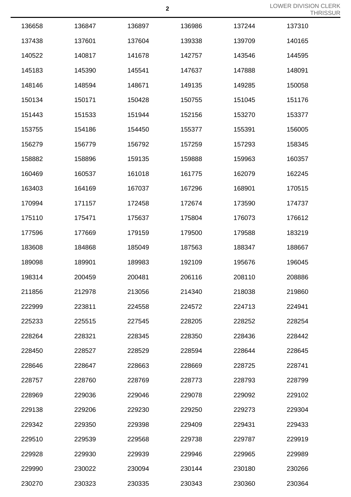|        |        |        |        |        | TП     |
|--------|--------|--------|--------|--------|--------|
| 136658 | 136847 | 136897 | 136986 | 137244 | 137310 |
| 137438 | 137601 | 137604 | 139338 | 139709 | 140165 |
| 140522 | 140817 | 141678 | 142757 | 143546 | 144595 |
| 145183 | 145390 | 145541 | 147637 | 147888 | 148091 |
| 148146 | 148594 | 148671 | 149135 | 149285 | 150058 |
| 150134 | 150171 | 150428 | 150755 | 151045 | 151176 |
| 151443 | 151533 | 151944 | 152156 | 153270 | 153377 |
| 153755 | 154186 | 154450 | 155377 | 155391 | 156005 |
| 156279 | 156779 | 156792 | 157259 | 157293 | 158345 |
| 158882 | 158896 | 159135 | 159888 | 159963 | 160357 |
| 160469 | 160537 | 161018 | 161775 | 162079 | 162245 |
| 163403 | 164169 | 167037 | 167296 | 168901 | 170515 |
| 170994 | 171157 | 172458 | 172674 | 173590 | 174737 |
| 175110 | 175471 | 175637 | 175804 | 176073 | 176612 |
| 177596 | 177669 | 179159 | 179500 | 179588 | 183219 |
| 183608 | 184868 | 185049 | 187563 | 188347 | 188667 |
| 189098 | 189901 | 189983 | 192109 | 195676 | 196045 |
| 198314 | 200459 | 200481 | 206116 | 208110 | 208886 |
| 211856 | 212978 | 213056 | 214340 | 218038 | 219860 |
| 222999 | 223811 | 224558 | 224572 | 224713 | 224941 |
| 225233 | 225515 | 227545 | 228205 | 228252 | 228254 |
| 228264 | 228321 | 228345 | 228350 | 228436 | 228442 |
| 228450 | 228527 | 228529 | 228594 | 228644 | 228645 |
| 228646 | 228647 | 228663 | 228669 | 228725 | 228741 |
| 228757 | 228760 | 228769 | 228773 | 228793 | 228799 |
| 228969 | 229036 | 229046 | 229078 | 229092 | 229102 |
| 229138 | 229206 | 229230 | 229250 | 229273 | 229304 |
| 229342 | 229350 | 229398 | 229409 | 229431 | 229433 |
| 229510 | 229539 | 229568 | 229738 | 229787 | 229919 |
| 229928 | 229930 | 229939 | 229946 | 229965 | 229989 |
| 229990 | 230022 | 230094 | 230144 | 230180 | 230266 |
| 230270 | 230323 | 230335 | 230343 | 230360 | 230364 |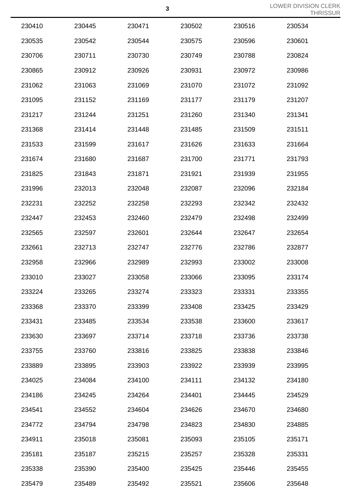|        |        |        |        |        | TШ,    |
|--------|--------|--------|--------|--------|--------|
| 230410 | 230445 | 230471 | 230502 | 230516 | 230534 |
| 230535 | 230542 | 230544 | 230575 | 230596 | 230601 |
| 230706 | 230711 | 230730 | 230749 | 230788 | 230824 |
| 230865 | 230912 | 230926 | 230931 | 230972 | 230986 |
| 231062 | 231063 | 231069 | 231070 | 231072 | 231092 |
| 231095 | 231152 | 231169 | 231177 | 231179 | 231207 |
| 231217 | 231244 | 231251 | 231260 | 231340 | 231341 |
| 231368 | 231414 | 231448 | 231485 | 231509 | 231511 |
| 231533 | 231599 | 231617 | 231626 | 231633 | 231664 |
| 231674 | 231680 | 231687 | 231700 | 231771 | 231793 |
| 231825 | 231843 | 231871 | 231921 | 231939 | 231955 |
| 231996 | 232013 | 232048 | 232087 | 232096 | 232184 |
| 232231 | 232252 | 232258 | 232293 | 232342 | 232432 |
| 232447 | 232453 | 232460 | 232479 | 232498 | 232499 |
| 232565 | 232597 | 232601 | 232644 | 232647 | 232654 |
| 232661 | 232713 | 232747 | 232776 | 232786 | 232877 |
| 232958 | 232966 | 232989 | 232993 | 233002 | 233008 |
| 233010 | 233027 | 233058 | 233066 | 233095 | 233174 |
| 233224 | 233265 | 233274 | 233323 | 233331 | 233355 |
| 233368 | 233370 | 233399 | 233408 | 233425 | 233429 |
| 233431 | 233485 | 233534 | 233538 | 233600 | 233617 |
| 233630 | 233697 | 233714 | 233718 | 233736 | 233738 |
| 233755 | 233760 | 233816 | 233825 | 233838 | 233846 |
| 233889 | 233895 | 233903 | 233922 | 233939 | 233995 |
| 234025 | 234084 | 234100 | 234111 | 234132 | 234180 |
| 234186 | 234245 | 234264 | 234401 | 234445 | 234529 |
| 234541 | 234552 | 234604 | 234626 | 234670 | 234680 |
| 234772 | 234794 | 234798 | 234823 | 234830 | 234885 |
| 234911 | 235018 | 235081 | 235093 | 235105 | 235171 |
| 235181 | 235187 | 235215 | 235257 | 235328 | 235331 |
| 235338 | 235390 | 235400 | 235425 | 235446 | 235455 |
| 235479 | 235489 | 235492 | 235521 | 235606 | 235648 |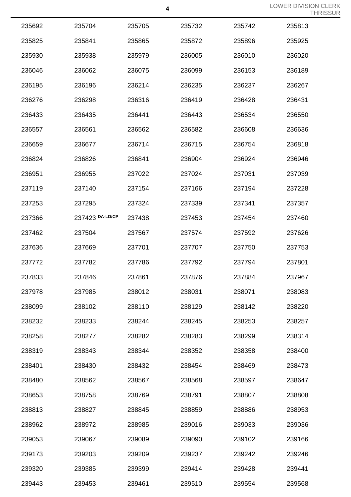|        |                 | 4      |        |        | LOWER DIVISION<br>THI |
|--------|-----------------|--------|--------|--------|-----------------------|
| 235692 | 235704          | 235705 | 235732 | 235742 | 235813                |
| 235825 | 235841          | 235865 | 235872 | 235896 | 235925                |
| 235930 | 235938          | 235979 | 236005 | 236010 | 236020                |
| 236046 | 236062          | 236075 | 236099 | 236153 | 236189                |
| 236195 | 236196          | 236214 | 236235 | 236237 | 236267                |
| 236276 | 236298          | 236316 | 236419 | 236428 | 236431                |
| 236433 | 236435          | 236441 | 236443 | 236534 | 236550                |
| 236557 | 236561          | 236562 | 236582 | 236608 | 236636                |
| 236659 | 236677          | 236714 | 236715 | 236754 | 236818                |
| 236824 | 236826          | 236841 | 236904 | 236924 | 236946                |
| 236951 | 236955          | 237022 | 237024 | 237031 | 237039                |
| 237119 | 237140          | 237154 | 237166 | 237194 | 237228                |
| 237253 | 237295          | 237324 | 237339 | 237341 | 237357                |
| 237366 | 237423 DA-LD/CP | 237438 | 237453 | 237454 | 237460                |
| 237462 | 237504          | 237567 | 237574 | 237592 | 237626                |
| 237636 | 237669          | 237701 | 237707 | 237750 | 237753                |
| 237772 | 237782          | 237786 | 237792 | 237794 | 237801                |
| 237833 | 237846          | 237861 | 237876 | 237884 | 237967                |
| 237978 | 237985          | 238012 | 238031 | 238071 | 238083                |
| 238099 | 238102          | 238110 | 238129 | 238142 | 238220                |
| 238232 | 238233          | 238244 | 238245 | 238253 | 238257                |
| 238258 | 238277          | 238282 | 238283 | 238299 | 238314                |
| 238319 | 238343          | 238344 | 238352 | 238358 | 238400                |
| 238401 | 238430          | 238432 | 238454 | 238469 | 238473                |
| 238480 | 238562          | 238567 | 238568 | 238597 | 238647                |
| 238653 | 238758          | 238769 | 238791 | 238807 | 238808                |
| 238813 | 238827          | 238845 | 238859 | 238886 | 238953                |
| 238962 | 238972          | 238985 | 239016 | 239033 | 239036                |
| 239053 | 239067          | 239089 | 239090 | 239102 | 239166                |
| 239173 | 239203          | 239209 | 239237 | 239242 | 239246                |
| 239320 | 239385          | 239399 | 239414 | 239428 | 239441                |
| 239443 | 239453          | 239461 | 239510 | 239554 | 239568                |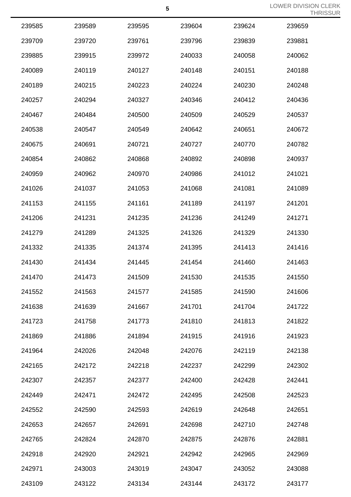|        |        |        |        |        | .      |
|--------|--------|--------|--------|--------|--------|
| 239585 | 239589 | 239595 | 239604 | 239624 | 239659 |
| 239709 | 239720 | 239761 | 239796 | 239839 | 239881 |
| 239885 | 239915 | 239972 | 240033 | 240058 | 240062 |
| 240089 | 240119 | 240127 | 240148 | 240151 | 240188 |
| 240189 | 240215 | 240223 | 240224 | 240230 | 240248 |
| 240257 | 240294 | 240327 | 240346 | 240412 | 240436 |
| 240467 | 240484 | 240500 | 240509 | 240529 | 240537 |
| 240538 | 240547 | 240549 | 240642 | 240651 | 240672 |
| 240675 | 240691 | 240721 | 240727 | 240770 | 240782 |
| 240854 | 240862 | 240868 | 240892 | 240898 | 240937 |
| 240959 | 240962 | 240970 | 240986 | 241012 | 241021 |
| 241026 | 241037 | 241053 | 241068 | 241081 | 241089 |
| 241153 | 241155 | 241161 | 241189 | 241197 | 241201 |
| 241206 | 241231 | 241235 | 241236 | 241249 | 241271 |
| 241279 | 241289 | 241325 | 241326 | 241329 | 241330 |
| 241332 | 241335 | 241374 | 241395 | 241413 | 241416 |
| 241430 | 241434 | 241445 | 241454 | 241460 | 241463 |
| 241470 | 241473 | 241509 | 241530 | 241535 | 241550 |
| 241552 | 241563 | 241577 | 241585 | 241590 | 241606 |
| 241638 | 241639 | 241667 | 241701 | 241704 | 241722 |
| 241723 | 241758 | 241773 | 241810 | 241813 | 241822 |
| 241869 | 241886 | 241894 | 241915 | 241916 | 241923 |
| 241964 | 242026 | 242048 | 242076 | 242119 | 242138 |
| 242165 | 242172 | 242218 | 242237 | 242299 | 242302 |
| 242307 | 242357 | 242377 | 242400 | 242428 | 242441 |
| 242449 | 242471 | 242472 | 242495 | 242508 | 242523 |
| 242552 | 242590 | 242593 | 242619 | 242648 | 242651 |
| 242653 | 242657 | 242691 | 242698 | 242710 | 242748 |
| 242765 | 242824 | 242870 | 242875 | 242876 | 242881 |
| 242918 | 242920 | 242921 | 242942 | 242965 | 242969 |
| 242971 | 243003 | 243019 | 243047 | 243052 | 243088 |
| 243109 | 243122 | 243134 | 243144 | 243172 | 243177 |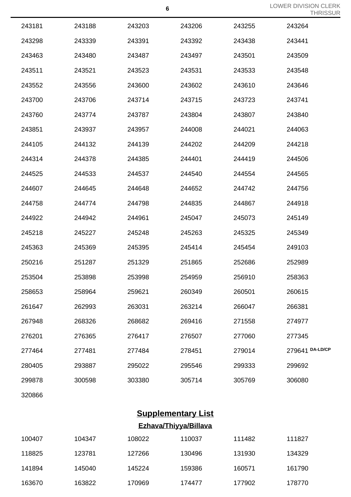|        |        |        |        |        | TULIOOL         |
|--------|--------|--------|--------|--------|-----------------|
| 243181 | 243188 | 243203 | 243206 | 243255 | 243264          |
| 243298 | 243339 | 243391 | 243392 | 243438 | 243441          |
| 243463 | 243480 | 243487 | 243497 | 243501 | 243509          |
| 243511 | 243521 | 243523 | 243531 | 243533 | 243548          |
| 243552 | 243556 | 243600 | 243602 | 243610 | 243646          |
| 243700 | 243706 | 243714 | 243715 | 243723 | 243741          |
| 243760 | 243774 | 243787 | 243804 | 243807 | 243840          |
| 243851 | 243937 | 243957 | 244008 | 244021 | 244063          |
| 244105 | 244132 | 244139 | 244202 | 244209 | 244218          |
| 244314 | 244378 | 244385 | 244401 | 244419 | 244506          |
| 244525 | 244533 | 244537 | 244540 | 244554 | 244565          |
| 244607 | 244645 | 244648 | 244652 | 244742 | 244756          |
| 244758 | 244774 | 244798 | 244835 | 244867 | 244918          |
| 244922 | 244942 | 244961 | 245047 | 245073 | 245149          |
| 245218 | 245227 | 245248 | 245263 | 245325 | 245349          |
| 245363 | 245369 | 245395 | 245414 | 245454 | 249103          |
| 250216 | 251287 | 251329 | 251865 | 252686 | 252989          |
| 253504 | 253898 | 253998 | 254959 | 256910 | 258363          |
| 258653 | 258964 | 259621 | 260349 | 260501 | 260615          |
| 261647 | 262993 | 263031 | 263214 | 266047 | 266381          |
| 267948 | 268326 | 268682 | 269416 | 271558 | 274977          |
| 276201 | 276365 | 276417 | 276507 | 277060 | 277345          |
| 277464 | 277481 | 277484 | 278451 | 279014 | 279641 DA-LD/CP |
| 280405 | 293887 | 295022 | 295546 | 299333 | 299692          |
| 299878 | 300598 | 303380 | 305714 | 305769 | 306080          |
| 320866 |        |        |        |        |                 |

# **Supplementary List**

## **Ezhava/Thiyya/Billava**

| 100407 | 104347 | 108022 | 110037 | 111482 | 111827 |
|--------|--------|--------|--------|--------|--------|
| 118825 | 123781 | 127266 | 130496 | 131930 | 134329 |
| 141894 | 145040 | 145224 | 159386 | 160571 | 161790 |
| 163670 | 163822 | 170969 | 174477 | 177902 | 178770 |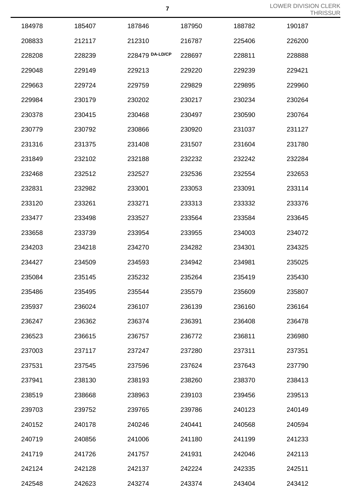| 184978 | 185407 | 187846          | 187950 | 188782 | 190187 |
|--------|--------|-----------------|--------|--------|--------|
| 208833 | 212117 | 212310          | 216787 | 225406 | 226200 |
| 228208 | 228239 | 228479 DA-LD/CP | 228697 | 228811 | 228888 |
| 229048 | 229149 | 229213          | 229220 | 229239 | 229421 |
| 229663 | 229724 | 229759          | 229829 | 229895 | 229960 |
| 229984 | 230179 | 230202          | 230217 | 230234 | 230264 |
| 230378 | 230415 | 230468          | 230497 | 230590 | 230764 |
| 230779 | 230792 | 230866          | 230920 | 231037 | 231127 |
| 231316 | 231375 | 231408          | 231507 | 231604 | 231780 |
| 231849 | 232102 | 232188          | 232232 | 232242 | 232284 |
| 232468 | 232512 | 232527          | 232536 | 232554 | 232653 |
| 232831 | 232982 | 233001          | 233053 | 233091 | 233114 |
| 233120 | 233261 | 233271          | 233313 | 233332 | 233376 |
| 233477 | 233498 | 233527          | 233564 | 233584 | 233645 |
| 233658 | 233739 | 233954          | 233955 | 234003 | 234072 |
| 234203 | 234218 | 234270          | 234282 | 234301 | 234325 |
| 234427 | 234509 | 234593          | 234942 | 234981 | 235025 |
| 235084 | 235145 | 235232          | 235264 | 235419 | 235430 |
| 235486 | 235495 | 235544          | 235579 | 235609 | 235807 |
| 235937 | 236024 | 236107          | 236139 | 236160 | 236164 |
| 236247 | 236362 | 236374          | 236391 | 236408 | 236478 |
| 236523 | 236615 | 236757          | 236772 | 236811 | 236980 |
| 237003 | 237117 | 237247          | 237280 | 237311 | 237351 |
| 237531 | 237545 | 237596          | 237624 | 237643 | 237790 |
| 237941 | 238130 | 238193          | 238260 | 238370 | 238413 |
| 238519 | 238668 | 238963          | 239103 | 239456 | 239513 |
| 239703 | 239752 | 239765          | 239786 | 240123 | 240149 |
| 240152 | 240178 | 240246          | 240441 | 240568 | 240594 |
| 240719 | 240856 | 241006          | 241180 | 241199 | 241233 |
| 241719 | 241726 | 241757          | 241931 | 242046 | 242113 |
| 242124 | 242128 | 242137          | 242224 | 242335 | 242511 |
| 242548 | 242623 | 243274          | 243374 | 243404 | 243412 |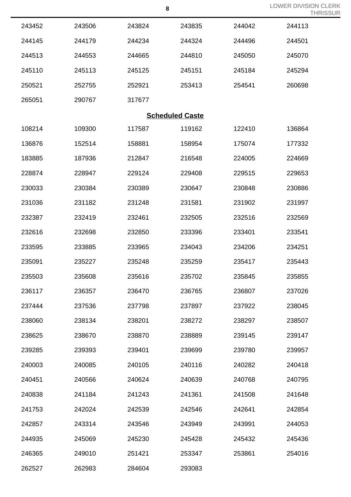|  | <b>LOWER DIVISION CLERK</b> |          |
|--|-----------------------------|----------|
|  |                             | THRISSUR |

|        |        |        | ${\bf 8}$              |        | <b>LOWER DIVISION</b><br>TH |
|--------|--------|--------|------------------------|--------|-----------------------------|
| 243452 | 243506 | 243824 | 243835                 | 244042 | 244113                      |
| 244145 | 244179 | 244234 | 244324                 | 244496 | 244501                      |
| 244513 | 244553 | 244665 | 244810                 | 245050 | 245070                      |
| 245110 | 245113 | 245125 | 245151                 | 245184 | 245294                      |
| 250521 | 252755 | 252921 | 253413                 | 254541 | 260698                      |
| 265051 | 290767 | 317677 |                        |        |                             |
|        |        |        | <b>Scheduled Caste</b> |        |                             |
| 108214 | 109300 | 117587 | 119162                 | 122410 | 136864                      |
| 136876 | 152514 | 158881 | 158954                 | 175074 | 177332                      |
| 183885 | 187936 | 212847 | 216548                 | 224005 | 224669                      |
| 228874 | 228947 | 229124 | 229408                 | 229515 | 229653                      |
| 230033 | 230384 | 230389 | 230647                 | 230848 | 230886                      |
| 231036 | 231182 | 231248 | 231581                 | 231902 | 231997                      |
| 232387 | 232419 | 232461 | 232505                 | 232516 | 232569                      |
| 232616 | 232698 | 232850 | 233396                 | 233401 | 233541                      |
| 233595 | 233885 | 233965 | 234043                 | 234206 | 234251                      |
| 235091 | 235227 | 235248 | 235259                 | 235417 | 235443                      |
| 235503 | 235608 | 235616 | 235702                 | 235845 | 235855                      |
| 236117 | 236357 | 236470 | 236765                 | 236807 | 237026                      |
| 237444 | 237536 | 237798 | 237897                 | 237922 | 238045                      |
| 238060 | 238134 | 238201 | 238272                 | 238297 | 238507                      |
| 238625 | 238670 | 238870 | 238889                 | 239145 | 239147                      |
| 239285 | 239393 | 239401 | 239699                 | 239780 | 239957                      |
| 240003 | 240085 | 240105 | 240116                 | 240282 | 240418                      |
| 240451 | 240566 | 240624 | 240639                 | 240768 | 240795                      |
| 240838 | 241184 | 241243 | 241361                 | 241508 | 241648                      |
| 241753 | 242024 | 242539 | 242546                 | 242641 | 242854                      |
| 242857 | 243314 | 243546 | 243949                 | 243991 | 244053                      |
| 244935 | 245069 | 245230 | 245428                 | 245432 | 245436                      |
| 246365 | 249010 | 251421 | 253347                 | 253861 | 254016                      |
| 262527 | 262983 | 284604 | 293083                 |        |                             |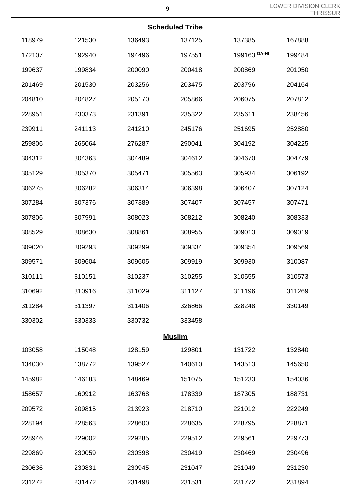| <b>Scheduled Tribe</b> |
|------------------------|
|------------------------|

|        |        |        | Scheduled Tribe |              |        |
|--------|--------|--------|-----------------|--------------|--------|
| 118979 | 121530 | 136493 | 137125          | 137385       | 167888 |
| 172107 | 192940 | 194496 | 197551          | 199163 DA-HI | 199484 |
| 199637 | 199834 | 200090 | 200418          | 200869       | 201050 |
| 201469 | 201530 | 203256 | 203475          | 203796       | 204164 |
| 204810 | 204827 | 205170 | 205866          | 206075       | 207812 |
| 228951 | 230373 | 231391 | 235322          | 235611       | 238456 |
| 239911 | 241113 | 241210 | 245176          | 251695       | 252880 |
| 259806 | 265064 | 276287 | 290041          | 304192       | 304225 |
| 304312 | 304363 | 304489 | 304612          | 304670       | 304779 |
| 305129 | 305370 | 305471 | 305563          | 305934       | 306192 |
| 306275 | 306282 | 306314 | 306398          | 306407       | 307124 |
| 307284 | 307376 | 307389 | 307407          | 307457       | 307471 |
| 307806 | 307991 | 308023 | 308212          | 308240       | 308333 |
| 308529 | 308630 | 308861 | 308955          | 309013       | 309019 |
| 309020 | 309293 | 309299 | 309334          | 309354       | 309569 |
| 309571 | 309604 | 309605 | 309919          | 309930       | 310087 |
| 310111 | 310151 | 310237 | 310255          | 310555       | 310573 |
| 310692 | 310916 | 311029 | 311127          | 311196       | 311269 |
| 311284 | 311397 | 311406 | 326866          | 328248       | 330149 |
| 330302 | 330333 | 330732 | 333458          |              |        |
|        |        |        | <b>Muslim</b>   |              |        |
| 103058 | 115048 | 128159 | 129801          | 131722       | 132840 |
| 134030 | 138772 | 139527 | 140610          | 143513       | 145650 |
| 145982 | 146183 | 148469 | 151075          | 151233       | 154036 |
| 158657 | 160912 | 163768 | 178339          | 187305       | 188731 |
| 209572 | 209815 | 213923 | 218710          | 221012       | 222249 |
| 228194 | 228563 | 228600 | 228635          | 228795       | 228871 |
| 228946 | 229002 | 229285 | 229512          | 229561       | 229773 |
| 229869 | 230059 | 230398 | 230419          | 230469       | 230496 |
| 230636 | 230831 | 230945 | 231047          | 231049       | 231230 |
| 231272 | 231472 | 231498 | 231531          | 231772       | 231894 |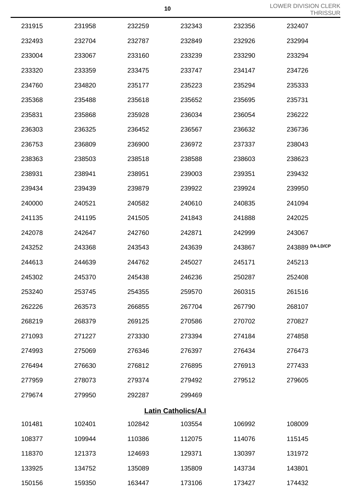LOWER DIVISION CLERK JR<br>Th

|        |                            |        |        |        | THRISSL         |  |  |  |
|--------|----------------------------|--------|--------|--------|-----------------|--|--|--|
| 231915 | 231958                     | 232259 | 232343 | 232356 | 232407          |  |  |  |
| 232493 | 232704                     | 232787 | 232849 | 232926 | 232994          |  |  |  |
| 233004 | 233067                     | 233160 | 233239 | 233290 | 233294          |  |  |  |
| 233320 | 233359                     | 233475 | 233747 | 234147 | 234726          |  |  |  |
| 234760 | 234820                     | 235177 | 235223 | 235294 | 235333          |  |  |  |
| 235368 | 235488                     | 235618 | 235652 | 235695 | 235731          |  |  |  |
| 235831 | 235868                     | 235928 | 236034 | 236054 | 236222          |  |  |  |
| 236303 | 236325                     | 236452 | 236567 | 236632 | 236736          |  |  |  |
| 236753 | 236809                     | 236900 | 236972 | 237337 | 238043          |  |  |  |
| 238363 | 238503                     | 238518 | 238588 | 238603 | 238623          |  |  |  |
| 238931 | 238941                     | 238951 | 239003 | 239351 | 239432          |  |  |  |
| 239434 | 239439                     | 239879 | 239922 | 239924 | 239950          |  |  |  |
| 240000 | 240521                     | 240582 | 240610 | 240835 | 241094          |  |  |  |
| 241135 | 241195                     | 241505 | 241843 | 241888 | 242025          |  |  |  |
| 242078 | 242647                     | 242760 | 242871 | 242999 | 243067          |  |  |  |
| 243252 | 243368                     | 243543 | 243639 | 243867 | 243889 DA-LD/CP |  |  |  |
| 244613 | 244639                     | 244762 | 245027 | 245171 | 245213          |  |  |  |
| 245302 | 245370                     | 245438 | 246236 | 250287 | 252408          |  |  |  |
| 253240 | 253745                     | 254355 | 259570 | 260315 | 261516          |  |  |  |
| 262226 | 263573                     | 266855 | 267704 | 267790 | 268107          |  |  |  |
| 268219 | 268379                     | 269125 | 270586 | 270702 | 270827          |  |  |  |
| 271093 | 271227                     | 273330 | 273394 | 274184 | 274858          |  |  |  |
| 274993 | 275069                     | 276346 | 276397 | 276434 | 276473          |  |  |  |
| 276494 | 276630                     | 276812 | 276895 | 276913 | 277433          |  |  |  |
| 277959 | 278073                     | 279374 | 279492 | 279512 | 279605          |  |  |  |
| 279674 | 279950                     | 292287 | 299469 |        |                 |  |  |  |
|        | <b>Latin Catholics/A.I</b> |        |        |        |                 |  |  |  |
| 101481 | 102401                     | 102842 | 103554 | 106992 | 108009          |  |  |  |
| 108377 | 109944                     | 110386 | 112075 | 114076 | 115145          |  |  |  |
| 118370 | 121373                     | 124693 | 129371 | 130397 | 131972          |  |  |  |
| 133925 | 134752                     | 135089 | 135809 | 143734 | 143801          |  |  |  |
| 150156 | 159350                     | 163447 | 173106 | 173427 | 174432          |  |  |  |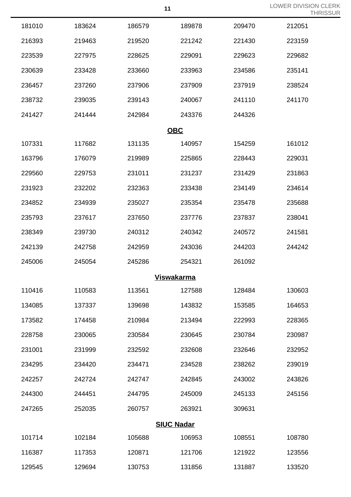| 11 | <b>LOWER DIVISION CLERK</b> |
|----|-----------------------------|
|    | <b>THRISSUR</b>             |

|        |        |                   |        |        | ΙF     |
|--------|--------|-------------------|--------|--------|--------|
| 181010 | 183624 | 186579            | 189878 | 209470 | 212051 |
| 216393 | 219463 | 219520            | 221242 | 221430 | 223159 |
| 223539 | 227975 | 228625            | 229091 | 229623 | 229682 |
| 230639 | 233428 | 233660            | 233963 | 234586 | 235141 |
| 236457 | 237260 | 237906            | 237909 | 237919 | 238524 |
| 238732 | 239035 | 239143            | 240067 | 241110 | 241170 |
| 241427 | 241444 | 242984            | 243376 | 244326 |        |
|        |        | <b>OBC</b>        |        |        |        |
| 107331 | 117682 | 131135            | 140957 | 154259 | 161012 |
| 163796 | 176079 | 219989            | 225865 | 228443 | 229031 |
| 229560 | 229753 | 231011            | 231237 | 231429 | 231863 |
| 231923 | 232202 | 232363            | 233438 | 234149 | 234614 |
| 234852 | 234939 | 235027            | 235354 | 235478 | 235688 |
| 235793 | 237617 | 237650            | 237776 | 237837 | 238041 |
| 238349 | 239730 | 240312            | 240342 | 240572 | 241581 |
| 242139 | 242758 | 242959            | 243036 | 244203 | 244242 |
| 245006 | 245054 | 245286            | 254321 | 261092 |        |
|        |        | <b>Viswakarma</b> |        |        |        |
| 110416 | 110583 | 113561            | 127588 | 128484 | 130603 |
| 134085 | 137337 | 139698            | 143832 | 153585 | 164653 |
| 173582 | 174458 | 210984            | 213494 | 222993 | 228365 |
| 228758 | 230065 | 230584            | 230645 | 230784 | 230987 |
| 231001 | 231999 | 232592            | 232608 | 232646 | 232952 |
| 234295 | 234420 | 234471            | 234528 | 238262 | 239019 |
| 242257 | 242724 | 242747            | 242845 | 243002 | 243826 |
| 244300 | 244451 | 244795            | 245009 | 245133 | 245156 |
| 247265 | 252035 | 260757            | 263921 | 309631 |        |
|        |        | <b>SIUC Nadar</b> |        |        |        |
| 101714 | 102184 | 105688            | 106953 | 108551 | 108780 |
| 116387 | 117353 | 120871            | 121706 | 121922 | 123556 |
| 129545 | 129694 | 130753            | 131856 | 131887 | 133520 |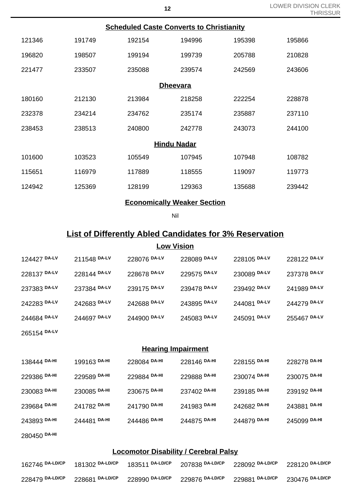| <b>Scheduled Caste Converts to Christianity</b> |        |                    |        |        |        |  |  |
|-------------------------------------------------|--------|--------------------|--------|--------|--------|--|--|
| 121346                                          | 191749 | 192154             | 194996 | 195398 | 195866 |  |  |
| 196820                                          | 198507 | 199194             | 199739 | 205788 | 210828 |  |  |
| 221477                                          | 233507 | 235088             | 239574 | 242569 | 243606 |  |  |
|                                                 |        | <b>Dheevara</b>    |        |        |        |  |  |
| 180160                                          | 212130 | 213984             | 218258 | 222254 | 228878 |  |  |
| 232378                                          | 234214 | 234762             | 235174 | 235887 | 237110 |  |  |
| 238453                                          | 238513 | 240800             | 242778 | 243073 | 244100 |  |  |
|                                                 |        | <b>Hindu Nadar</b> |        |        |        |  |  |
| 101600                                          | 103523 | 105549             | 107945 | 107948 | 108782 |  |  |
| 115651                                          | 116979 | 117889             | 118555 | 119097 | 119773 |  |  |
| 124942                                          | 125369 | 128199             | 129363 | 135688 | 239442 |  |  |
|                                                 |        |                    |        |        |        |  |  |

### **Economically Weaker Section**

Nil

## **List of Differently Abled Candidates for 3% Reservation**

#### **Low Vision**

| 124427 DA-LV | 211548 DA-LV | 228076 DA-LV | 228089 DA-LV | 228105 DA-LV | 228122 DA-LV |
|--------------|--------------|--------------|--------------|--------------|--------------|
| 228137 DA-LV | 228144 DA-LV | 228678 DA-LV | 229575 DA-LV | 230089 DA-LV | 237378 DA-LV |
| 237383 DA-LV | 237384 DA-LV | 239175 DA-LV | 239478 DA-LV | 239492 DA-LV | 241989 DA-LV |
| 242283 DA-LV | 242683 DA-LV | 242688 DA-LV | 243895 DA-LV | 244081 DA-LV | 244279 DA-LV |
| 244684 DA-LV | 244697 DA-LV | 244900 DA-LV | 245083 DA-LV | 245091 DA-LV | 255467 DA-LV |
|              |              |              |              |              |              |

### **Hearing Impairment**

| 138444 DA-HI | 199163 DA-HI | 228084 DA-HI | 228146 DA-HI | 228155 DA-HI | 228278 DA-HI |
|--------------|--------------|--------------|--------------|--------------|--------------|
| 229386 DA-HI | 229589 DA-HI | 229884 DA-HI | 229888 DA-HI | 230074 DA-HI | 230075 DA-HI |
| 230083 DA-HI | 230085 DA-HI | 230675 DA-HI | 237402 DA-HI | 239185 DA-HI | 239192 DA-HI |
| 239684 DA-HI | 241782 DA-HI | 241790 DA-HI | 241983 DA-HI | 242682 DA-HI | 243881 DA-HI |
| 243893 DA-HI | 244481 DA-HI | 244486 DA-HI | 244875 DA-HI | 244879 DA-HI | 245099 DA-HI |
|              |              |              |              |              |              |

## **DA-HI**

**DA-LV**

### **Locomotor Disability / Cerebral Palsy**

|  | 162746 DA-LD/CP 181302 DA-LD/CP 183511 DA-LD/CP 207838 DA-LD/CP 228092 DA-LD/CP 228120 DA-LD/CP |  |
|--|-------------------------------------------------------------------------------------------------|--|
|  | 228479 DA-LD/CP 228681 DA-LD/CP 228990 DA-LD/CP 229876 DA-LD/CP 229881 DA-LD/CP 230476 DA-LD/CP |  |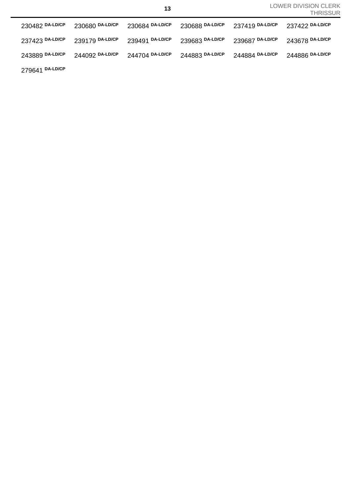| 230482 DA-LD/CP | 230680 DA-LD/CP | 230684 DA-LD/CP | 230688 DA-LD/CP | 237419 DA-LD/CP 237422 DA-LD/CP |                 |
|-----------------|-----------------|-----------------|-----------------|---------------------------------|-----------------|
| 237423 DA-LD/CP | 239179 DA-LD/CP | 239491 DA-LD/CP | 239683 DA-LD/CP | 239687 DA-LD/CP                 | 243678 DA-LD/CP |
| 243889 DA-LD/CP | 244092 DA-LD/CP | 244704 DA-LD/CP | 244883 DA-LD/CP | 244884 DA-LD/CP                 | 244886 DA-LD/CP |
| 279641 DA-LD/CP |                 |                 |                 |                                 |                 |